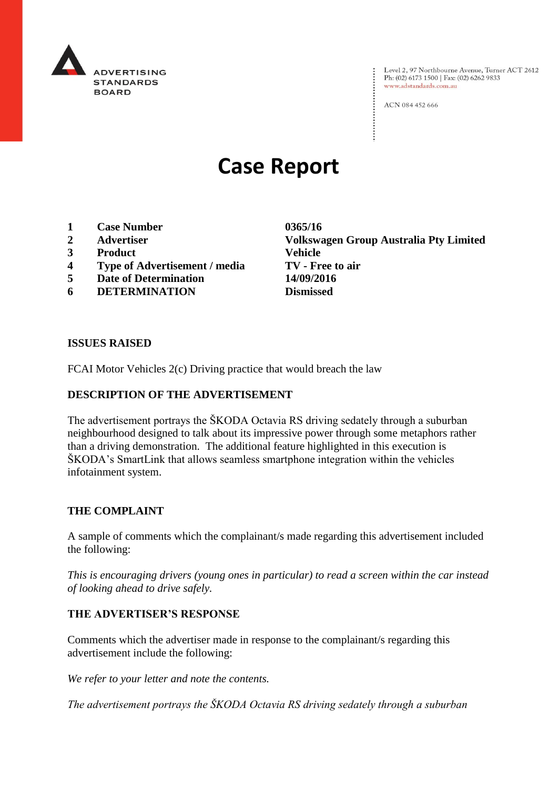

Level 2, 97 Northbourne Avenue, Turner ACT 2612<br>Ph: (02) 6173 1500 | Fax: (02) 6262 9833 www.adstandards.com.au

ACN 084 452 666

# **Case Report**

- **1 Case Number 0365/16**
- 
- **3 Product Vehicle**
- **4 Type of Advertisement / media TV - Free to air**
- **5 Date of Determination 14/09/2016**
- **6 DETERMINATION Dismissed**

**2 Advertiser Volkswagen Group Australia Pty Limited**

#### **ISSUES RAISED**

FCAI Motor Vehicles 2(c) Driving practice that would breach the law

#### **DESCRIPTION OF THE ADVERTISEMENT**

The advertisement portrays the ŠKODA Octavia RS driving sedately through a suburban neighbourhood designed to talk about its impressive power through some metaphors rather than a driving demonstration. The additional feature highlighted in this execution is ŠKODA's SmartLink that allows seamless smartphone integration within the vehicles infotainment system.

#### **THE COMPLAINT**

A sample of comments which the complainant/s made regarding this advertisement included the following:

*This is encouraging drivers (young ones in particular) to read a screen within the car instead of looking ahead to drive safely.*

#### **THE ADVERTISER'S RESPONSE**

Comments which the advertiser made in response to the complainant/s regarding this advertisement include the following:

*We refer to your letter and note the contents.*

*The advertisement portrays the ŠKODA Octavia RS driving sedately through a suburban*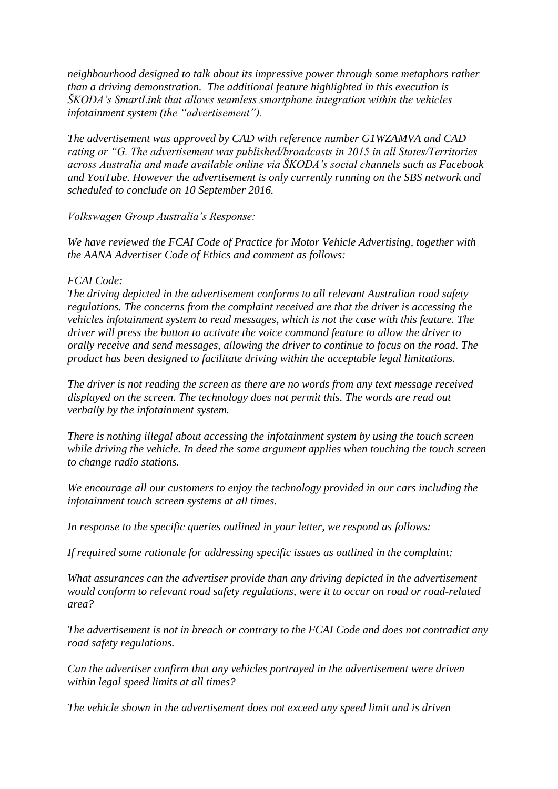*neighbourhood designed to talk about its impressive power through some metaphors rather than a driving demonstration. The additional feature highlighted in this execution is ŠKODA's SmartLink that allows seamless smartphone integration within the vehicles infotainment system (the "advertisement").*

*The advertisement was approved by CAD with reference number G1WZAMVA and CAD rating or "G. The advertisement was published/broadcasts in 2015 in all States/Territories across Australia and made available online via ŠKODA's social channels such as Facebook and YouTube. However the advertisement is only currently running on the SBS network and scheduled to conclude on 10 September 2016.*

*Volkswagen Group Australia's Response:*

*We have reviewed the FCAI Code of Practice for Motor Vehicle Advertising, together with the AANA Advertiser Code of Ethics and comment as follows:*

### *FCAI Code:*

*The driving depicted in the advertisement conforms to all relevant Australian road safety regulations. The concerns from the complaint received are that the driver is accessing the vehicles infotainment system to read messages, which is not the case with this feature. The driver will press the button to activate the voice command feature to allow the driver to orally receive and send messages, allowing the driver to continue to focus on the road. The product has been designed to facilitate driving within the acceptable legal limitations.*

*The driver is not reading the screen as there are no words from any text message received displayed on the screen. The technology does not permit this. The words are read out verbally by the infotainment system.*

*There is nothing illegal about accessing the infotainment system by using the touch screen while driving the vehicle. In deed the same argument applies when touching the touch screen to change radio stations.*

*We encourage all our customers to enjoy the technology provided in our cars including the infotainment touch screen systems at all times.*

*In response to the specific queries outlined in your letter, we respond as follows:*

*If required some rationale for addressing specific issues as outlined in the complaint:*

*What assurances can the advertiser provide than any driving depicted in the advertisement would conform to relevant road safety regulations, were it to occur on road or road-related area?*

*The advertisement is not in breach or contrary to the FCAI Code and does not contradict any road safety regulations.*

*Can the advertiser confirm that any vehicles portrayed in the advertisement were driven within legal speed limits at all times?*

*The vehicle shown in the advertisement does not exceed any speed limit and is driven*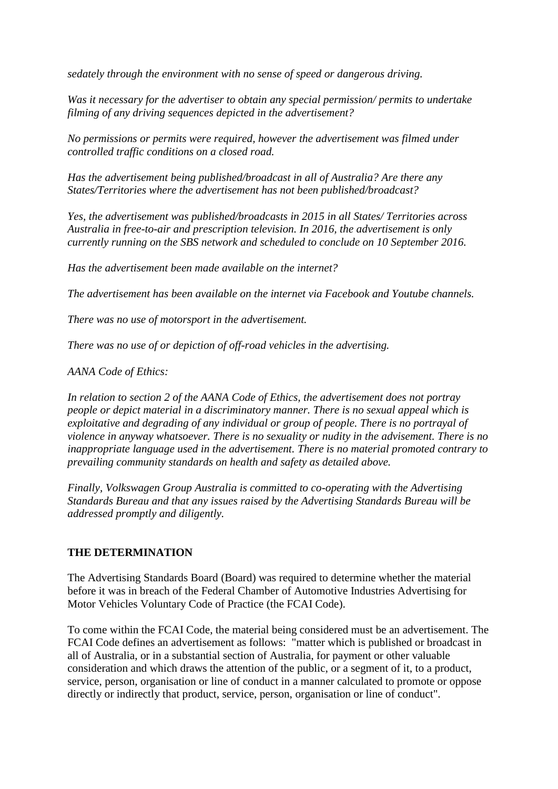*sedately through the environment with no sense of speed or dangerous driving.*

*Was it necessary for the advertiser to obtain any special permission/ permits to undertake filming of any driving sequences depicted in the advertisement?*

*No permissions or permits were required, however the advertisement was filmed under controlled traffic conditions on a closed road.*

*Has the advertisement being published/broadcast in all of Australia? Are there any States/Territories where the advertisement has not been published/broadcast?*

*Yes, the advertisement was published/broadcasts in 2015 in all States/ Territories across Australia in free-to-air and prescription television. In 2016, the advertisement is only currently running on the SBS network and scheduled to conclude on 10 September 2016.*

*Has the advertisement been made available on the internet?*

*The advertisement has been available on the internet via Facebook and Youtube channels.*

*There was no use of motorsport in the advertisement.*

*There was no use of or depiction of off-road vehicles in the advertising.*

*AANA Code of Ethics:*

*In relation to section 2 of the AANA Code of Ethics, the advertisement does not portray people or depict material in a discriminatory manner. There is no sexual appeal which is exploitative and degrading of any individual or group of people. There is no portrayal of violence in anyway whatsoever. There is no sexuality or nudity in the advisement. There is no inappropriate language used in the advertisement. There is no material promoted contrary to prevailing community standards on health and safety as detailed above.*

*Finally, Volkswagen Group Australia is committed to co-operating with the Advertising Standards Bureau and that any issues raised by the Advertising Standards Bureau will be addressed promptly and diligently.*

## **THE DETERMINATION**

The Advertising Standards Board (Board) was required to determine whether the material before it was in breach of the Federal Chamber of Automotive Industries Advertising for Motor Vehicles Voluntary Code of Practice (the FCAI Code).

To come within the FCAI Code, the material being considered must be an advertisement. The FCAI Code defines an advertisement as follows: "matter which is published or broadcast in all of Australia, or in a substantial section of Australia, for payment or other valuable consideration and which draws the attention of the public, or a segment of it, to a product, service, person, organisation or line of conduct in a manner calculated to promote or oppose directly or indirectly that product, service, person, organisation or line of conduct".